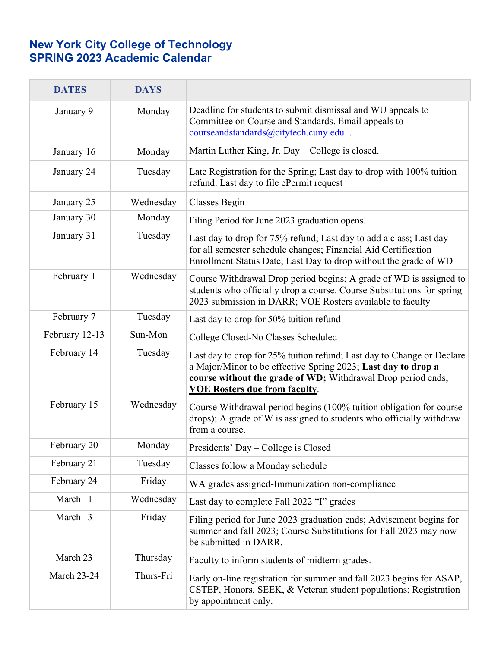## **New York City College of Technology SPRING 2023 Academic Calendar**

| <b>DATES</b>       | <b>DAYS</b> |                                                                                                                                                                                                                                                 |
|--------------------|-------------|-------------------------------------------------------------------------------------------------------------------------------------------------------------------------------------------------------------------------------------------------|
| January 9          | Monday      | Deadline for students to submit dismissal and WU appeals to<br>Committee on Course and Standards. Email appeals to<br>courseandstandards@citytech.cuny.edu.                                                                                     |
| January 16         | Monday      | Martin Luther King, Jr. Day—College is closed.                                                                                                                                                                                                  |
| January 24         | Tuesday     | Late Registration for the Spring; Last day to drop with 100% tuition<br>refund. Last day to file ePermit request                                                                                                                                |
| January 25         | Wednesday   | Classes Begin                                                                                                                                                                                                                                   |
| January 30         | Monday      | Filing Period for June 2023 graduation opens.                                                                                                                                                                                                   |
| January 31         | Tuesday     | Last day to drop for 75% refund; Last day to add a class; Last day<br>for all semester schedule changes; Financial Aid Certification<br>Enrollment Status Date; Last Day to drop without the grade of WD                                        |
| February 1         | Wednesday   | Course Withdrawal Drop period begins; A grade of WD is assigned to<br>students who officially drop a course. Course Substitutions for spring<br>2023 submission in DARR; VOE Rosters available to faculty                                       |
| February 7         | Tuesday     | Last day to drop for 50% tuition refund                                                                                                                                                                                                         |
| February 12-13     | Sun-Mon     | College Closed-No Classes Scheduled                                                                                                                                                                                                             |
| February 14        | Tuesday     | Last day to drop for 25% tuition refund; Last day to Change or Declare<br>a Major/Minor to be effective Spring 2023; Last day to drop a<br>course without the grade of WD; Withdrawal Drop period ends;<br><b>VOE Rosters due from faculty.</b> |
| February 15        | Wednesday   | Course Withdrawal period begins (100% tuition obligation for course<br>drops); A grade of W is assigned to students who officially withdraw<br>from a course.                                                                                   |
| February 20        | Monday      | Presidents' Day – College is Closed                                                                                                                                                                                                             |
| February 21        | Tuesday     | Classes follow a Monday schedule                                                                                                                                                                                                                |
| February 24        | Friday      | WA grades assigned-Immunization non-compliance                                                                                                                                                                                                  |
| March 1            | Wednesday   | Last day to complete Fall 2022 "I" grades                                                                                                                                                                                                       |
| March 3            | Friday      | Filing period for June 2023 graduation ends; Advisement begins for<br>summer and fall 2023; Course Substitutions for Fall 2023 may now<br>be submitted in DARR.                                                                                 |
| March 23           | Thursday    | Faculty to inform students of midterm grades.                                                                                                                                                                                                   |
| <b>March 23-24</b> | Thurs-Fri   | Early on-line registration for summer and fall 2023 begins for ASAP,<br>CSTEP, Honors, SEEK, & Veteran student populations; Registration<br>by appointment only.                                                                                |